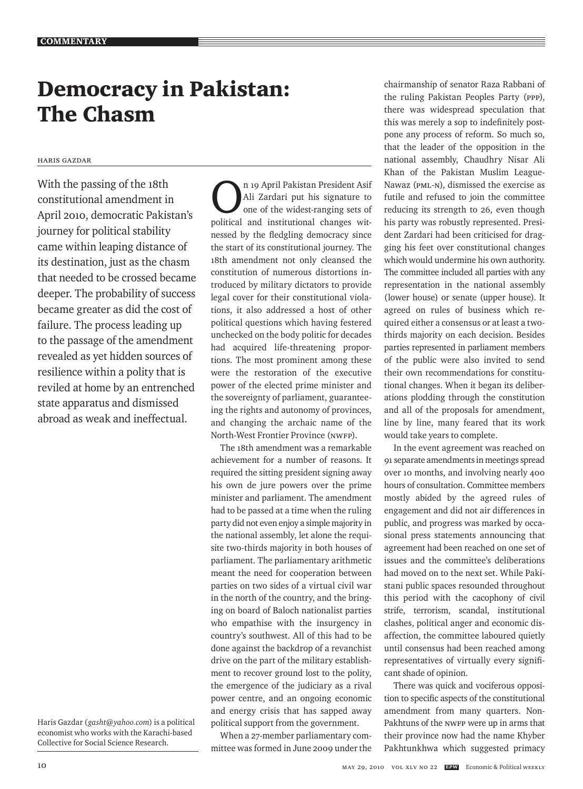# Democracy in Pakistan: The Chasm

### Haris Gazdar

With the passing of the 18th constitutional amendment in April 2010, democratic Pakistan's journey for political stability came within leaping distance of its destination, just as the chasm that needed to be crossed became deeper. The probability of success became greater as did the cost of failure. The process leading up to the passage of the amendment revealed as yet hidden sources of resilience within a polity that is reviled at home by an entrenched state apparatus and dismissed abroad as weak and ineffectual.

n 19 April Pakistan President Asif<br>Ali Zardari put his signature to<br>one of the widest-ranging sets of Ali Zardari put his signature to one of the widest-ranging sets of political and institutional changes witnessed by the fledgling democracy since the start of its constitutional journey. The 18th amendment not only cleansed the constitution of numerous distortions introduced by military dictators to provide legal cover for their constitutional violations, it also addressed a host of other political questions which having festered unchecked on the body politic for decades had acquired life-threatening proportions. The most prominent among these were the restoration of the executive power of the elected prime minister and the sovereignty of parliament, guaranteeing the rights and autonomy of provinces, and changing the archaic name of the North-West Frontier Province (NWFP).

The 18th amendment was a remarkable achievement for a number of reasons. It required the sitting president signing away his own de jure powers over the prime minister and parliament. The amendment had to be passed at a time when the ruling party did not even enjoy a simple majority in the national assembly, let alone the requisite two-thirds majority in both houses of parliament. The parliamentary arithmetic meant the need for cooperation between parties on two sides of a virtual civil war in the north of the country, and the bringing on board of Baloch nationalist parties who empathise with the insurgency in country's southwest. All of this had to be done against the backdrop of a revanchist drive on the part of the military establishment to recover ground lost to the polity, the emergence of the judiciary as a rival power centre, and an ongoing economic and energy crisis that has sapped away political support from the government.

When a 27-member parliamentary committee was formed in June 2009 under the

chairmanship of senator Raza Rabbani of the ruling Pakistan Peoples Party (PPP), there was widespread speculation that this was merely a sop to indefinitely postpone any process of reform. So much so, that the leader of the opposition in the national assembly, Chaudhry Nisar Ali Khan of the Pakistan Muslim League-Nawaz (PML-N), dismissed the exercise as futile and refused to join the committee reducing its strength to 26, even though his party was robustly represented. President Zardari had been criticised for dragging his feet over constitutional changes which would undermine his own authority. The committee included all parties with any representation in the national assembly (lower house) or senate (upper house). It agreed on rules of business which required either a consensus or at least a twothirds majority on each decision. Besides parties represented in parliament members of the public were also invited to send their own recommendations for constitutional changes. When it began its deliberations plodding through the constitution and all of the proposals for amendment, line by line, many feared that its work would take years to complete.

In the event agreement was reached on 91 separate amendments in meetings spread over 10 months, and involving nearly 400 hours of consultation. Committee members mostly abided by the agreed rules of engagement and did not air differences in public, and progress was marked by occasional press statements announcing that agreement had been reached on one set of issues and the committee's deliberations had moved on to the next set. While Pakistani public spaces resounded throughout this period with the cacophony of civil strife, terrorism, scandal, institutional clashes, political anger and economic disaffection, the committee laboured quietly until consensus had been reached among representatives of virtually every significant shade of opinion.

There was quick and vociferous opposition to specific aspects of the constitutional amendment from many quarters. Non-Pakhtuns of the NWFP were up in arms that their province now had the name Khyber Pakhtunkhwa which suggested primacy

Haris Gazdar (*gasht@yahoo.com*) is a political economist who works with the Karachi-based Collective for Social Science Research.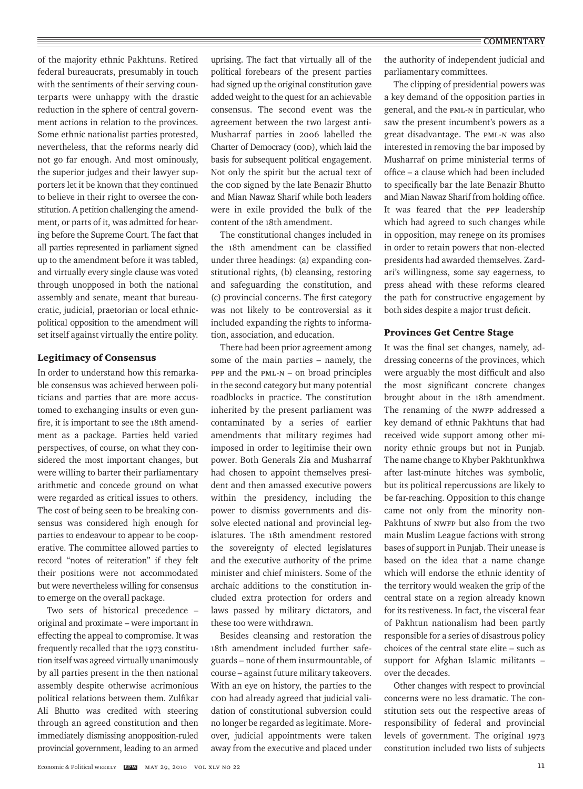of the majority ethnic Pakhtuns. Retired federal bureaucrats, presumably in touch with the sentiments of their serving counterparts were unhappy with the drastic reduction in the sphere of central government actions in relation to the provinces. Some ethnic nationalist parties protested, nevertheless, that the reforms nearly did not go far enough. And most ominously, the superior judges and their lawyer supporters let it be known that they continued to believe in their right to oversee the constitution. A petition challenging the amendment, or parts of it, was admitted for hearing before the Supreme Court. The fact that all parties represented in parliament signed up to the amendment before it was tabled, and virtually every single clause was voted through unopposed in both the national assembly and senate, meant that bureaucratic, judicial, praetorian or local ethnicpolitical opposition to the amendment will set itself against virtually the entire polity.

#### Legitimacy of Consensus

In order to understand how this remarkable consensus was achieved between politicians and parties that are more accustomed to exchanging insults or even gunfire, it is important to see the 18th amendment as a package. Parties held varied perspectives, of course, on what they considered the most important changes, but were willing to barter their parliamentary arithmetic and concede ground on what were regarded as critical issues to others. The cost of being seen to be breaking consensus was considered high enough for parties to endeavour to appear to be cooperative. The committee allowed parties to record "notes of reiteration" if they felt their positions were not accommodated but were nevertheless willing for consensus to emerge on the overall package.

Two sets of historical precedence – original and proximate – were important in effecting the appeal to compromise. It was frequently recalled that the 1973 constitution itself was agreed virtually unanimously by all parties present in the then national assembly despite otherwise acrimonious political relations between them. Zulfikar Ali Bhutto was credited with steering through an agreed constitution and then immediately dismissing anopposition-ruled provincial government, leading to an armed

uprising. The fact that virtually all of the political forebears of the present parties had signed up the original constitution gave added weight to the quest for an achievable consensus. The second event was the agreement between the two largest anti-Musharraf parties in 2006 labelled the Charter of Democracy (COD), which laid the basis for subsequent political engagement. Not only the spirit but the actual text of the COD signed by the late Benazir Bhutto and Mian Nawaz Sharif while both leaders were in exile provided the bulk of the content of the 18th amendment.

The constitutional changes included in the 18th amendment can be classified under three headings: (a) expanding constitutional rights, (b) cleansing, restoring and safeguarding the constitution, and (c) provincial concerns. The first category was not likely to be controversial as it included expanding the rights to information, association, and education.

There had been prior agreement among some of the main parties – namely, the PPP and the PML-N – on broad principles in the second category but many potential roadblocks in practice. The constitution inherited by the present parliament was contaminated by a series of earlier amendments that military regimes had imposed in order to legitimise their own power. Both Generals Zia and Musharraf had chosen to appoint themselves president and then amassed executive powers within the presidency, including the power to dismiss governments and dissolve elected national and provincial legislatures. The 18th amendment restored the sovereignty of elected legislatures and the executive authority of the prime minister and chief ministers. Some of the archaic additions to the constitution included extra protection for orders and laws passed by military dictators, and these too were withdrawn.

Besides cleansing and restoration the 18th amendment included further safeguards – none of them insurmountable, of course – against future military takeovers. With an eye on history, the parties to the COD had already agreed that judicial validation of constitutional subversion could no longer be regarded as legitimate. Moreover, judicial appointments were taken away from the executive and placed under the authority of independent judicial and parliamentary committees.

The clipping of presidential powers was a key demand of the opposition parties in general, and the PML-N in particular, who saw the present incumbent's powers as a great disadvantage. The PML-N was also interested in removing the bar imposed by Musharraf on prime ministerial terms of office – a clause which had been included to specifically bar the late Benazir Bhutto and Mian Nawaz Sharif from holding office. It was feared that the PPP leadership which had agreed to such changes while in opposition, may renege on its promises in order to retain powers that non-elected presidents had awarded themselves. Zardari's willingness, some say eagerness, to press ahead with these reforms cleared the path for constructive engagement by both sides despite a major trust deficit.

### Provinces Get Centre Stage

It was the final set changes, namely, addressing concerns of the provinces, which were arguably the most difficult and also the most significant concrete changes brought about in the 18th amendment. The renaming of the NWFP addressed a key demand of ethnic Pakhtuns that had received wide support among other minority ethnic groups but not in Punjab. The name change to Khyber Pakhtunkhwa after last-minute hitches was symbolic, but its political repercussions are likely to be far-reaching. Opposition to this change came not only from the minority non-Pakhtuns of NWFP but also from the two main Muslim League factions with strong bases of support in Punjab. Their unease is based on the idea that a name change which will endorse the ethnic identity of the territory would weaken the grip of the central state on a region already known for its restiveness. In fact, the visceral fear of Pakhtun nationalism had been partly responsible for a series of disastrous policy choices of the central state elite – such as support for Afghan Islamic militants – over the decades.

Other changes with respect to provincial concerns were no less dramatic. The constitution sets out the respective areas of responsibility of federal and provincial levels of government. The original 1973 constitution included two lists of subjects